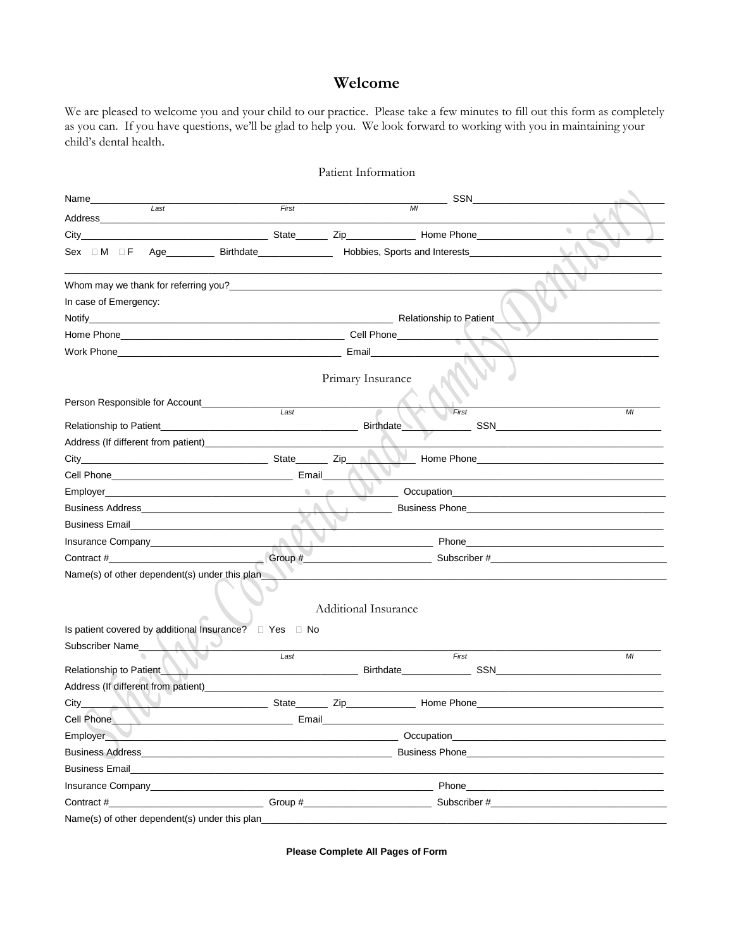## Welcome

We are pleased to welcome you and your child to our practice. Please take a few minutes to fill out this form as completely as you can. If you have questions, we'll be glad to help you. We look forward to working with you in maintaining your child's dental health.

|                                                                                                                                                                                                                                                                      |                                                                            | Patient Information                                                                                                                                                                                                                                                                                       |                                                    |
|----------------------------------------------------------------------------------------------------------------------------------------------------------------------------------------------------------------------------------------------------------------------|----------------------------------------------------------------------------|-----------------------------------------------------------------------------------------------------------------------------------------------------------------------------------------------------------------------------------------------------------------------------------------------------------|----------------------------------------------------|
| Name_____________                                                                                                                                                                                                                                                    |                                                                            | SSN DESCRIPTION OF REAL PROPERTY.                                                                                                                                                                                                                                                                         |                                                    |
| $\overline{Last}$<br>Address<br><u> 1989 - Johann John Harry Harry Harry Harry Harry Harry Harry Harry Harry Harry Harry Harry Harry Harry Harry Harry Harry Harry Harry Harry Harry Harry Harry Harry Harry Harry Harry Harry Harry Harry Harry Harry Harry Har</u> | First                                                                      | MI                                                                                                                                                                                                                                                                                                        |                                                    |
| $City_$                                                                                                                                                                                                                                                              |                                                                            | <b>Example 2008</b> State <b>Contract Contract Contract Contract Contract Contract Contract Contract Contract Contract Contract Contract Contract Contract Contract Contract Contract Contract Contract Contract Contract Contract Co</b>                                                                 | $\bullet$                                          |
| $Sex \quad \Box M \quad \Box F$                                                                                                                                                                                                                                      |                                                                            | Age_____________Birthdate________________________Hobbies, Sports and Interests_____________________                                                                                                                                                                                                       |                                                    |
|                                                                                                                                                                                                                                                                      |                                                                            |                                                                                                                                                                                                                                                                                                           |                                                    |
|                                                                                                                                                                                                                                                                      |                                                                            |                                                                                                                                                                                                                                                                                                           |                                                    |
| In case of Emergency:                                                                                                                                                                                                                                                |                                                                            |                                                                                                                                                                                                                                                                                                           |                                                    |
|                                                                                                                                                                                                                                                                      |                                                                            |                                                                                                                                                                                                                                                                                                           |                                                    |
|                                                                                                                                                                                                                                                                      |                                                                            |                                                                                                                                                                                                                                                                                                           |                                                    |
|                                                                                                                                                                                                                                                                      |                                                                            |                                                                                                                                                                                                                                                                                                           |                                                    |
|                                                                                                                                                                                                                                                                      |                                                                            |                                                                                                                                                                                                                                                                                                           |                                                    |
|                                                                                                                                                                                                                                                                      |                                                                            | Primary Insurance                                                                                                                                                                                                                                                                                         |                                                    |
| Person Responsible for Account_____________                                                                                                                                                                                                                          |                                                                            |                                                                                                                                                                                                                                                                                                           |                                                    |
|                                                                                                                                                                                                                                                                      | Last                                                                       | First                                                                                                                                                                                                                                                                                                     | MI                                                 |
| Relationship to Patient <b>Exercise 2018 Relationship</b> to Patient                                                                                                                                                                                                 |                                                                            | <b>Birthdate</b>                                                                                                                                                                                                                                                                                          |                                                    |
|                                                                                                                                                                                                                                                                      |                                                                            |                                                                                                                                                                                                                                                                                                           | Home Phone <b>Manual</b>                           |
|                                                                                                                                                                                                                                                                      |                                                                            |                                                                                                                                                                                                                                                                                                           |                                                    |
|                                                                                                                                                                                                                                                                      |                                                                            |                                                                                                                                                                                                                                                                                                           |                                                    |
|                                                                                                                                                                                                                                                                      |                                                                            |                                                                                                                                                                                                                                                                                                           |                                                    |
|                                                                                                                                                                                                                                                                      |                                                                            | Business Phone <b>Example 20</b> Phone <b>Example 20</b> Phone 20 Phone 20 Phone 20 Phone 20 Phone 20 Phone 20 Phone 20 Phone 20 Phone 20 Phone 20 Phone 20 Phone 20 Phone 20 Phone 20 Phone 20 Phone 20 Phone 20 Phone 20 Phone 20 Phon<br>$\mathcal{L}^{\text{max}}$ , where $\mathcal{L}^{\text{max}}$ |                                                    |
|                                                                                                                                                                                                                                                                      | $\mathbb{R}^n$                                                             |                                                                                                                                                                                                                                                                                                           |                                                    |
|                                                                                                                                                                                                                                                                      |                                                                            | <u>and the company of the company of the company of the company of the company of the company of the company of the company of the company of the company of the company of the company of the company of the company of the com</u>                                                                      |                                                    |
|                                                                                                                                                                                                                                                                      |                                                                            |                                                                                                                                                                                                                                                                                                           |                                                    |
| Name(s) of other dependent(s) under this plan                                                                                                                                                                                                                        |                                                                            | Additional Insurance                                                                                                                                                                                                                                                                                      |                                                    |
|                                                                                                                                                                                                                                                                      |                                                                            |                                                                                                                                                                                                                                                                                                           |                                                    |
| Subscriber Name                                                                                                                                                                                                                                                      |                                                                            |                                                                                                                                                                                                                                                                                                           |                                                    |
|                                                                                                                                                                                                                                                                      | Last                                                                       | First                                                                                                                                                                                                                                                                                                     | MI                                                 |
| Relationship to Patient                                                                                                                                                                                                                                              |                                                                            | <b>Birthdate Example 19</b>                                                                                                                                                                                                                                                                               | SSN DELLA CONTRACTOR DELL'INCHI DELLA CONTRACTORIA |
| Address (If different from patient)                                                                                                                                                                                                                                  |                                                                            |                                                                                                                                                                                                                                                                                                           |                                                    |
| $City_$                                                                                                                                                                                                                                                              |                                                                            | _______________________State__________ Zip__________________Home Phone_____________________________                                                                                                                                                                                                       |                                                    |
| Cell Phone                                                                                                                                                                                                                                                           | <b>Example 2018 Example 2019 Contract 2019 Contract 2019 Contract 2019</b> |                                                                                                                                                                                                                                                                                                           |                                                    |
| Employer                                                                                                                                                                                                                                                             |                                                                            |                                                                                                                                                                                                                                                                                                           |                                                    |
|                                                                                                                                                                                                                                                                      |                                                                            |                                                                                                                                                                                                                                                                                                           |                                                    |
| <b>Business Email</b>                                                                                                                                                                                                                                                | <u> 1989 - Johann Stoff, amerikansk politiker (d. 1989)</u>                |                                                                                                                                                                                                                                                                                                           |                                                    |
| Insurance Company and the company of the company of the company of the company of the company of the company of the company of the company of the company of the company of the company of the company of the company of the c                                       |                                                                            |                                                                                                                                                                                                                                                                                                           |                                                    |
|                                                                                                                                                                                                                                                                      |                                                                            |                                                                                                                                                                                                                                                                                                           |                                                    |
| Name(s) of other dependent(s) under this plan                                                                                                                                                                                                                        |                                                                            |                                                                                                                                                                                                                                                                                                           |                                                    |

**Please Complete All Pages of Form**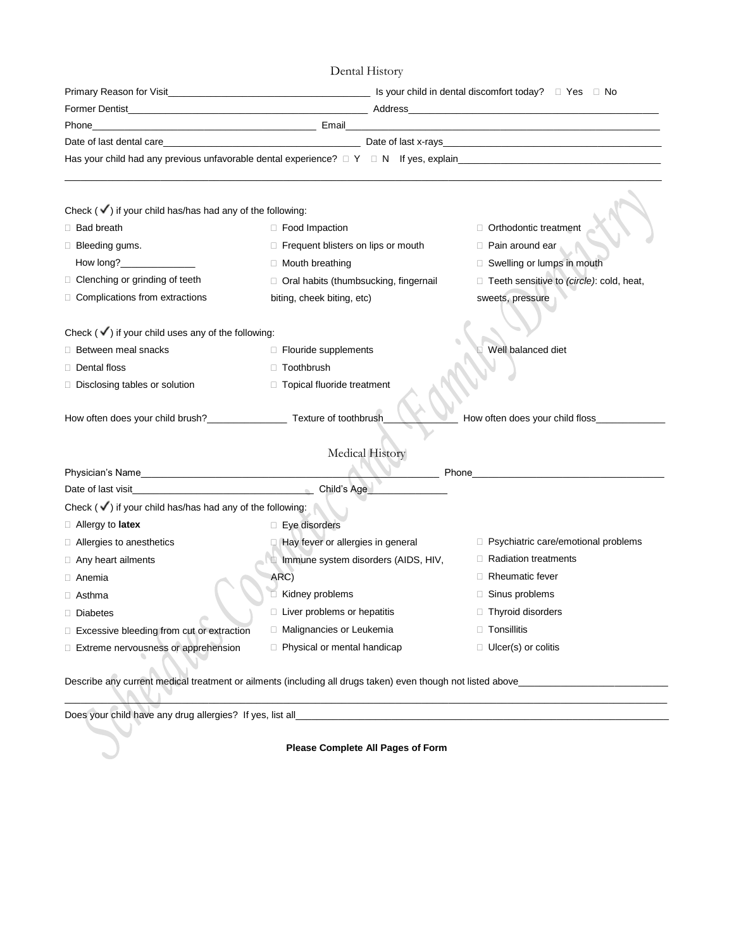Dental History

|                                                                                                             |                                              | Former Dentist <b>Example 2018 Contract Contract Contract Contract Contract Contract Contract Contract Contract Contract Contract Contract Contract Contract Contract Contract Contract Contract Contract Contract Contract Co</b> |  |
|-------------------------------------------------------------------------------------------------------------|----------------------------------------------|------------------------------------------------------------------------------------------------------------------------------------------------------------------------------------------------------------------------------------|--|
| Phone                                                                                                       |                                              | the control of the control of the control of the control of the control of the control of the control of the control of the control of the control of the control of the control of the control of the control of the control      |  |
|                                                                                                             |                                              | Date of last dental care and the contract of last x-rays Date of last x-rays                                                                                                                                                       |  |
|                                                                                                             |                                              | Has your child had any previous unfavorable dental experience? $\Box$ Y $\Box$ N If yes, explain express and the second content of the second of the second second second second second second second second second second second  |  |
|                                                                                                             |                                              |                                                                                                                                                                                                                                    |  |
| Check $(\checkmark)$ if your child has/has had any of the following:                                        |                                              |                                                                                                                                                                                                                                    |  |
| □ Bad breath                                                                                                | $\Box$ Food Impaction                        | Orthodontic treatment                                                                                                                                                                                                              |  |
| $\Box$ Bleeding gums.                                                                                       | $\Box$ Frequent blisters on lips or mouth    | □ Pain around ear                                                                                                                                                                                                                  |  |
| How $long?$                                                                                                 | $\Box$ Mouth breathing                       | Swelling or lumps in mouth                                                                                                                                                                                                         |  |
| $\Box$ Clenching or grinding of teeth                                                                       | $\Box$ Oral habits (thumbsucking, fingernail | □ Teeth sensitive to (circle): cold, heat,                                                                                                                                                                                         |  |
| $\Box$ Complications from extractions                                                                       | biting, cheek biting, etc)                   | sweets, pressure                                                                                                                                                                                                                   |  |
|                                                                                                             |                                              |                                                                                                                                                                                                                                    |  |
| Check $(\checkmark)$ if your child uses any of the following:                                               |                                              |                                                                                                                                                                                                                                    |  |
| <b>Between meal snacks</b>                                                                                  | □ Flouride supplements                       | Well balanced diet                                                                                                                                                                                                                 |  |
| Dental floss                                                                                                | □ Toothbrush                                 |                                                                                                                                                                                                                                    |  |
| Disclosing tables or solution                                                                               | □ Topical fluoride treatment                 |                                                                                                                                                                                                                                    |  |
|                                                                                                             |                                              |                                                                                                                                                                                                                                    |  |
| How often does your child brush?_____________________ Texture of toothbrush                                 |                                              | How often does your child floss_____                                                                                                                                                                                               |  |
|                                                                                                             |                                              |                                                                                                                                                                                                                                    |  |
|                                                                                                             | Medical History                              |                                                                                                                                                                                                                                    |  |
| Physician's Name                                                                                            |                                              | Phone                                                                                                                                                                                                                              |  |
| Date of last visit <b>Date of Last visit</b>                                                                | Child's Age                                  |                                                                                                                                                                                                                                    |  |
| Check $(\checkmark)$ if your child has/has had any of the following:                                        |                                              |                                                                                                                                                                                                                                    |  |
| $\Box$ Allergy to <b>latex</b>                                                                              | □ Eye disorders                              |                                                                                                                                                                                                                                    |  |
| $\Box$ Allergies to anesthetics                                                                             | Hay fever or allergies in general            | $\Box$ Psychiatric care/emotional problems                                                                                                                                                                                         |  |
| $\Box$ Any heart ailments                                                                                   | Immune system disorders (AIDS, HIV,          | $\Box$ Radiation treatments                                                                                                                                                                                                        |  |
| $\Box$ Anemia                                                                                               | ARC)                                         | <b>Rheumatic fever</b>                                                                                                                                                                                                             |  |
| $\Box$ Asthma                                                                                               | Kidney problems                              | $\Box$ Sinus problems                                                                                                                                                                                                              |  |
| Diabetes                                                                                                    | □ Liver problems or hepatitis                | Thyroid disorders                                                                                                                                                                                                                  |  |
| Excessive bleeding from cut or extraction                                                                   | □ Malignancies or Leukemia                   | Tonsillitis<br>П.                                                                                                                                                                                                                  |  |
| Extreme nervousness or apprehension                                                                         | $\Box$ Physical or mental handicap           | $\Box$ Ulcer(s) or colitis                                                                                                                                                                                                         |  |
|                                                                                                             |                                              |                                                                                                                                                                                                                                    |  |
| Describe any current medical treatment or ailments (including all drugs taken) even though not listed above |                                              |                                                                                                                                                                                                                                    |  |

Does your child have any drug allergies? If yes, list all\_\_\_\_\_\_\_\_\_\_\_\_\_\_\_\_\_\_\_\_\_\_\_\_\_\_\_\_\_\_\_\_\_\_\_\_\_\_\_\_\_\_\_\_\_\_\_\_\_\_\_\_\_\_\_\_\_\_\_\_\_\_\_\_\_\_\_\_\_\_

**Please Complete All Pages of Form**

\_\_\_\_\_\_\_\_\_\_\_\_\_\_\_\_\_\_\_\_\_\_\_\_\_\_\_\_\_\_\_\_\_\_\_\_\_\_\_\_\_\_\_\_\_\_\_\_\_\_\_\_\_\_\_\_\_\_\_\_\_\_\_\_\_\_\_\_\_\_\_\_\_\_\_\_\_\_\_\_\_\_\_\_\_\_\_\_\_\_\_\_\_\_\_\_\_\_\_\_\_\_\_\_\_\_\_\_\_\_\_\_\_